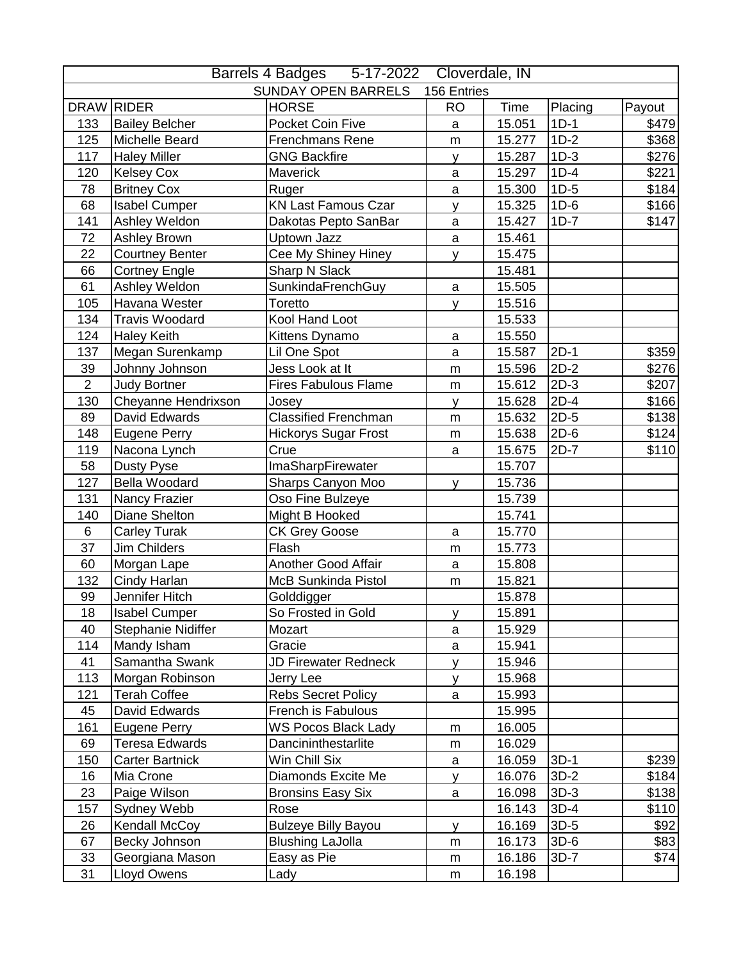|                |                        | Barrels 4 Badges 5-17-2022 Cloverdale, IN |              |             |         |        |
|----------------|------------------------|-------------------------------------------|--------------|-------------|---------|--------|
|                |                        | <b>SUNDAY OPEN BARRELS</b>                | 156 Entries  |             |         |        |
|                | DRAW RIDER             | <b>HORSE</b>                              | <b>RO</b>    | <b>Time</b> | Placing | Payout |
| 133            | <b>Bailey Belcher</b>  | Pocket Coin Five                          | a            | 15.051      | $1D-1$  | \$479  |
| 125            | <b>Michelle Beard</b>  | Frenchmans Rene                           | m            | 15.277      | $1D-2$  | \$368  |
| 117            | <b>Haley Miller</b>    | <b>GNG Backfire</b>                       | y            | 15.287      | $1D-3$  | \$276  |
| 120            | <b>Kelsey Cox</b>      | Maverick                                  | a            | 15.297      | $1D-4$  | \$221  |
| 78             | <b>Britney Cox</b>     | Ruger                                     | a            | 15.300      | $1D-5$  | \$184  |
| 68             | <b>Isabel Cumper</b>   | <b>KN Last Famous Czar</b>                | y            | 15.325      | $1D-6$  | \$166  |
| 141            | Ashley Weldon          | Dakotas Pepto SanBar                      | a            | 15.427      | $1D-7$  | \$147  |
| 72             | <b>Ashley Brown</b>    | Uptown Jazz                               | a            | 15.461      |         |        |
| 22             | <b>Courtney Benter</b> | Cee My Shiney Hiney                       | y            | 15.475      |         |        |
| 66             | <b>Cortney Engle</b>   | Sharp N Slack                             |              | 15.481      |         |        |
| 61             | Ashley Weldon          | SunkindaFrenchGuy                         | $\mathsf{a}$ | 15.505      |         |        |
| 105            | Havana Wester          | Toretto                                   | y            | 15.516      |         |        |
| 134            | <b>Travis Woodard</b>  | Kool Hand Loot                            |              | 15.533      |         |        |
| 124            | <b>Haley Keith</b>     | Kittens Dynamo                            | $\mathsf{a}$ | 15.550      |         |        |
| 137            | Megan Surenkamp        | Lil One Spot                              | a            | 15.587      | $2D-1$  | \$359  |
| 39             | Johnny Johnson         | Jess Look at It                           | m            | 15.596      | $2D-2$  | \$276  |
| $\overline{2}$ | <b>Judy Bortner</b>    | <b>Fires Fabulous Flame</b>               | ${\sf m}$    | 15.612      | $2D-3$  | \$207  |
| 130            | Cheyanne Hendrixson    | Josey                                     | У            | 15.628      | $2D-4$  | \$166  |
| 89             | David Edwards          | <b>Classified Frenchman</b>               | m            | 15.632      | $2D-5$  | \$138  |
| 148            | <b>Eugene Perry</b>    | <b>Hickorys Sugar Frost</b>               | ${\sf m}$    | 15.638      | $2D-6$  | \$124  |
| 119            | Nacona Lynch           | Crue                                      | a            | 15.675      | $2D-7$  | \$110  |
| 58             | Dusty Pyse             | ImaSharpFirewater                         |              | 15.707      |         |        |
| 127            | <b>Bella Woodard</b>   | Sharps Canyon Moo                         | y            | 15.736      |         |        |
| 131            | Nancy Frazier          | Oso Fine Bulzeye                          |              | 15.739      |         |        |
| 140            | <b>Diane Shelton</b>   | Might B Hooked                            |              | 15.741      |         |        |
| 6              | <b>Carley Turak</b>    | <b>CK Grey Goose</b>                      | $\mathsf a$  | 15.770      |         |        |
| 37             | Jim Childers           | Flash                                     | m            | 15.773      |         |        |
| 60             | Morgan Lape            | Another Good Affair                       | $\mathsf a$  | 15.808      |         |        |
| 132            | Cindy Harlan           | McB Sunkinda Pistol                       | ${\sf m}$    | 15.821      |         |        |
| 99             | Jennifer Hitch         | Golddigger                                |              | 15.878      |         |        |
| 18             | <b>Isabel Cumper</b>   | So Frosted in Gold                        | y            | 15.891      |         |        |
| 40             | Stephanie Nidiffer     | Mozart                                    | a            | 15.929      |         |        |
| 114            | Mandy Isham            | Gracie                                    | a            | 15.941      |         |        |
| 41             | Samantha Swank         | JD Firewater Redneck                      | y            | 15.946      |         |        |
| 113            | Morgan Robinson        | Jerry Lee                                 | y            | 15.968      |         |        |
| 121            | <b>Terah Coffee</b>    | <b>Rebs Secret Policy</b>                 | a            | 15.993      |         |        |
| 45             | David Edwards          | French is Fabulous                        |              | 15.995      |         |        |
| 161            | <b>Eugene Perry</b>    | WS Pocos Black Lady                       | m            | 16.005      |         |        |
| 69             | Teresa Edwards         | Dancininthestarlite                       | m            | 16.029      |         |        |
| 150            | <b>Carter Bartnick</b> | Win Chill Six                             | a            | 16.059      | $3D-1$  | \$239  |
| 16             | Mia Crone              | Diamonds Excite Me                        | v            | 16.076      | $3D-2$  | \$184  |
| 23             | Paige Wilson           | <b>Bronsins Easy Six</b>                  | a            | 16.098      | $3D-3$  | \$138  |
| 157            | Sydney Webb            | Rose                                      |              | 16.143      | 3D-4    | \$110  |
| 26             | Kendall McCoy          | <b>Bulzeye Billy Bayou</b>                | V            | 16.169      | $3D-5$  | \$92   |
| 67             | Becky Johnson          | <b>Blushing LaJolla</b>                   | m            | 16.173      | $3D-6$  | \$83   |
| 33             | Georgiana Mason        | Easy as Pie                               | m            | 16.186      | $3D-7$  | \$74   |
| 31             | Lloyd Owens            | Lady                                      | ${\sf m}$    | 16.198      |         |        |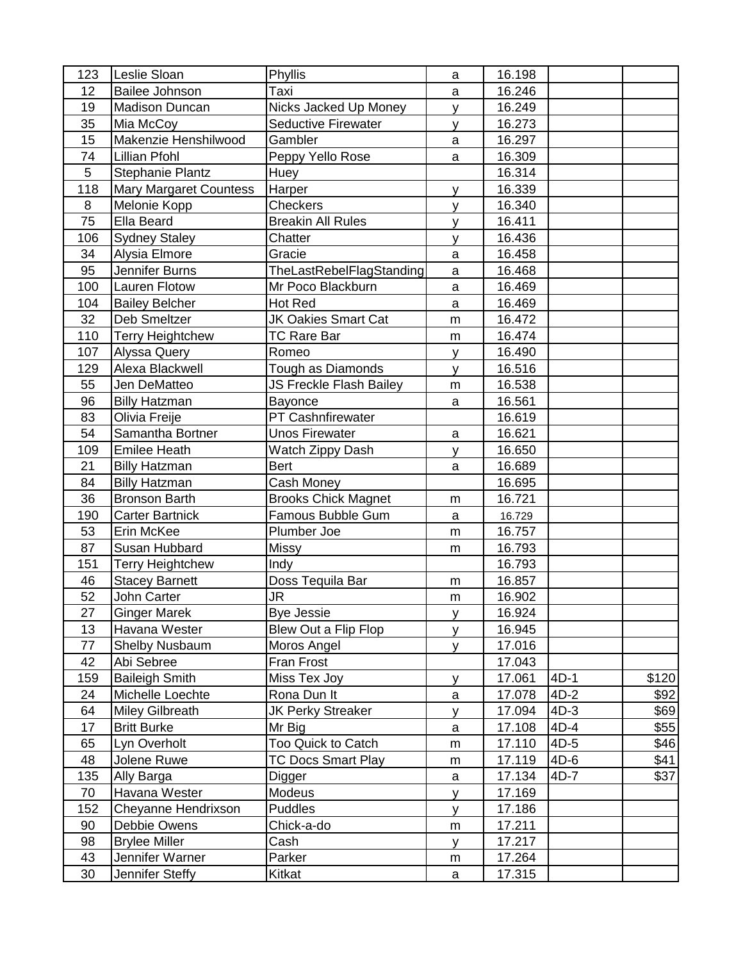| 123 | Leslie Sloan                      | Phyllis                                             | a            | 16.198 |        |       |
|-----|-----------------------------------|-----------------------------------------------------|--------------|--------|--------|-------|
| 12  | <b>Bailee Johnson</b>             | Taxi                                                | a            | 16.246 |        |       |
| 19  | <b>Madison Duncan</b>             |                                                     |              | 16.249 |        |       |
| 35  |                                   | Nicks Jacked Up Money<br><b>Seductive Firewater</b> | $\mathsf{v}$ | 16.273 |        |       |
|     | Mia McCoy<br>Makenzie Henshilwood | Gambler                                             | y            |        |        |       |
| 15  |                                   |                                                     | a            | 16.297 |        |       |
| 74  | <b>Lillian Pfohl</b>              | Peppy Yello Rose                                    | a            | 16.309 |        |       |
| 5   | <b>Stephanie Plantz</b>           | Huey                                                |              | 16.314 |        |       |
| 118 | <b>Mary Margaret Countess</b>     | Harper                                              | y            | 16.339 |        |       |
| 8   | Melonie Kopp                      | Checkers                                            | $\mathsf{V}$ | 16.340 |        |       |
| 75  | Ella Beard                        | <b>Breakin All Rules</b>                            | <b>V</b>     | 16.411 |        |       |
| 106 | <b>Sydney Staley</b>              | Chatter                                             | y            | 16.436 |        |       |
| 34  | Alysia Elmore                     | Gracie                                              | $\mathbf{a}$ | 16.458 |        |       |
| 95  | Jennifer Burns                    | TheLastRebelFlagStanding                            | $\mathsf{a}$ | 16.468 |        |       |
| 100 | <b>Lauren Flotow</b>              | Mr Poco Blackburn                                   | a            | 16.469 |        |       |
| 104 | <b>Bailey Belcher</b>             | Hot Red                                             | a            | 16.469 |        |       |
| 32  | Deb Smeltzer                      | JK Oakies Smart Cat                                 | m            | 16.472 |        |       |
| 110 | <b>Terry Heightchew</b>           | <b>TC Rare Bar</b>                                  | m            | 16.474 |        |       |
| 107 | Alyssa Query                      | Romeo                                               | V            | 16.490 |        |       |
| 129 | Alexa Blackwell                   | Tough as Diamonds                                   | $\mathsf{V}$ | 16.516 |        |       |
| 55  | Jen DeMatteo                      | JS Freckle Flash Bailey                             | m            | 16.538 |        |       |
| 96  | <b>Billy Hatzman</b>              | Bayonce                                             | a            | 16.561 |        |       |
| 83  | Olivia Freije                     | PT Cashnfirewater                                   |              | 16.619 |        |       |
| 54  | Samantha Bortner                  | <b>Unos Firewater</b>                               | $\mathsf{a}$ | 16.621 |        |       |
| 109 | Emilee Heath                      | Watch Zippy Dash                                    | v            | 16.650 |        |       |
| 21  | <b>Billy Hatzman</b>              | <b>Bert</b>                                         | a            | 16.689 |        |       |
| 84  | <b>Billy Hatzman</b>              | Cash Money                                          |              | 16.695 |        |       |
| 36  | <b>Bronson Barth</b>              | <b>Brooks Chick Magnet</b>                          | m            | 16.721 |        |       |
| 190 | <b>Carter Bartnick</b>            | Famous Bubble Gum                                   | a            | 16.729 |        |       |
| 53  | Erin McKee                        | Plumber Joe                                         | m            | 16.757 |        |       |
| 87  | Susan Hubbard                     | Missy                                               | m            | 16.793 |        |       |
| 151 | <b>Terry Heightchew</b>           | Indy                                                |              | 16.793 |        |       |
| 46  | <b>Stacey Barnett</b>             | Doss Tequila Bar                                    | m            | 16.857 |        |       |
| 52  | John Carter                       | JR                                                  | m            | 16.902 |        |       |
| 27  | <b>Ginger Marek</b>               | <b>Bye Jessie</b>                                   | V            | 16.924 |        |       |
| 13  | Havana Wester                     | Blew Out a Flip Flop                                | <b>V</b>     | 16.945 |        |       |
| 77  | <b>Shelby Nusbaum</b>             | Moros Angel                                         | V            | 17.016 |        |       |
| 42  | Abi Sebree                        | Fran Frost                                          |              | 17.043 |        |       |
| 159 | <b>Baileigh Smith</b>             | Miss Tex Joy                                        | <b>V</b>     | 17.061 | $4D-1$ | \$120 |
| 24  | Michelle Loechte                  | Rona Dun It                                         | $\mathsf{a}$ | 17.078 | $4D-2$ | \$92  |
| 64  | <b>Miley Gilbreath</b>            | <b>JK Perky Streaker</b>                            | y            | 17.094 | $4D-3$ | \$69  |
| 17  | <b>Britt Burke</b>                | Mr Big                                              | a            | 17.108 | $4D-4$ | \$55  |
| 65  | Lyn Overholt                      | Too Quick to Catch                                  | ${\sf m}$    | 17.110 | $4D-5$ | \$46  |
| 48  | Jolene Ruwe                       | <b>TC Docs Smart Play</b>                           | m            | 17.119 | $4D-6$ | \$41  |
| 135 | Ally Barga                        | Digger                                              | $\mathsf{a}$ | 17.134 | 4D-7   | \$37  |
| 70  | Havana Wester                     | Modeus                                              | y            | 17.169 |        |       |
| 152 | Cheyanne Hendrixson               | Puddles                                             | y            | 17.186 |        |       |
| 90  | Debbie Owens                      | Chick-a-do                                          | ${\sf m}$    | 17.211 |        |       |
| 98  | <b>Brylee Miller</b>              | Cash                                                | У            | 17.217 |        |       |
|     | Jennifer Warner                   | Parker                                              | m            | 17.264 |        |       |
| 43  |                                   |                                                     |              |        |        |       |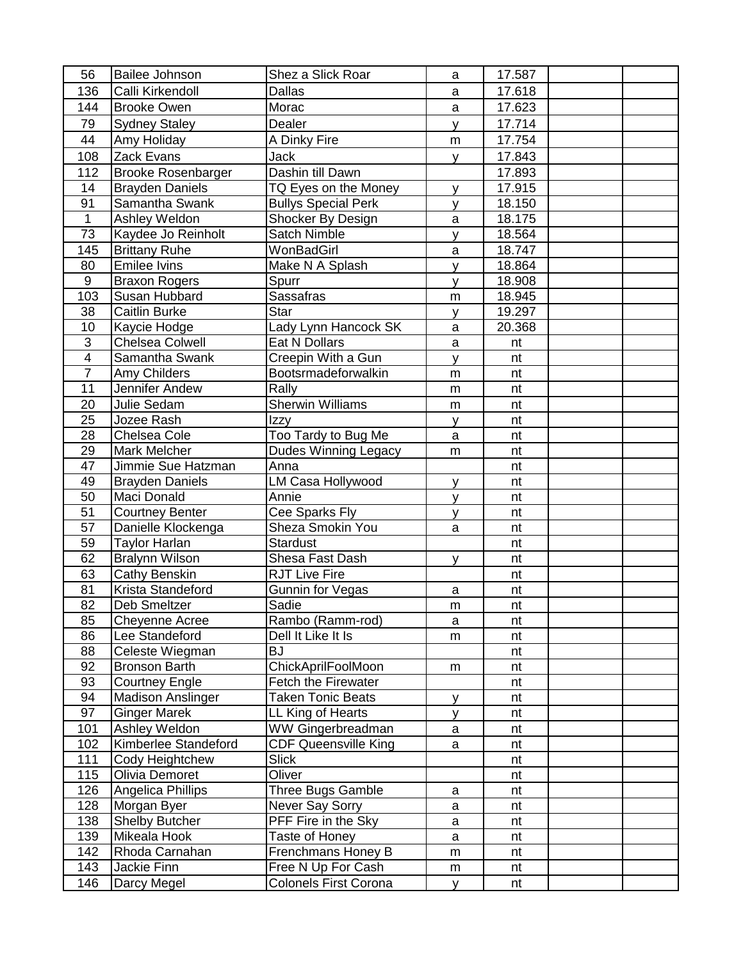| 56             | <b>Bailee Johnson</b>          | Shez a Slick Roar            | a         | 17.587 |  |
|----------------|--------------------------------|------------------------------|-----------|--------|--|
| 136            | Calli Kirkendoll               | <b>Dallas</b>                | a         | 17.618 |  |
| 144            | <b>Brooke Owen</b>             | Morac                        | a         | 17.623 |  |
| 79             | <b>Sydney Staley</b>           | Dealer                       | y         | 17.714 |  |
| 44             | Amy Holiday                    | A Dinky Fire                 | m         | 17.754 |  |
| 108            | Zack Evans                     | <b>Jack</b>                  | y         | 17.843 |  |
| 112            | <b>Brooke Rosenbarger</b>      | Dashin till Dawn             |           | 17.893 |  |
| 14             | <b>Brayden Daniels</b>         | TQ Eyes on the Money         | <b>y</b>  | 17.915 |  |
| 91             | Samantha Swank                 | <b>Bullys Special Perk</b>   | y         | 18.150 |  |
| $\overline{1}$ | Ashley Weldon                  | Shocker By Design            | a         | 18.175 |  |
| 73             | Kaydee Jo Reinholt             | Satch Nimble                 | У         | 18.564 |  |
| 145            | <b>Brittany Ruhe</b>           | WonBadGirl                   | a         | 18.747 |  |
| 80             | <b>Emilee Ivins</b>            | Make N A Splash              | <b>V</b>  | 18.864 |  |
| 9              | <b>Braxon Rogers</b>           | Spurr                        | y         | 18.908 |  |
| 103            | Susan Hubbard                  | Sassafras                    | m         | 18.945 |  |
| 38             | <b>Caitlin Burke</b>           | Star                         | V         | 19.297 |  |
| 10             | Kaycie Hodge                   | Lady Lynn Hancock SK         | a         | 20.368 |  |
| 3              | Chelsea Colwell                | Eat N Dollars                | a         | nt     |  |
| $\overline{4}$ | Samantha Swank                 | Creepin With a Gun           |           | nt     |  |
| $\overline{7}$ |                                | Bootsrmadeforwalkin          | y         | nt     |  |
| 11             | Amy Childers<br>Jennifer Andew | Rally                        | m         | nt     |  |
| 20             | Julie Sedam                    | <b>Sherwin Williams</b>      | m         | nt     |  |
| 25             | Jozee Rash                     |                              | m         |        |  |
| 28             |                                | Izzy                         | y         | nt     |  |
|                | Chelsea Cole                   | Too Tardy to Bug Me          | a         | nt     |  |
| 29             | Mark Melcher                   | Dudes Winning Legacy         | m         | nt     |  |
| 47             | Jimmie Sue Hatzman             | Anna                         |           | nt     |  |
| 49             | <b>Brayden Daniels</b>         | LM Casa Hollywood            | V         | nt     |  |
| 50             | Maci Donald                    | Annie                        | У         | nt     |  |
| 51             | <b>Courtney Benter</b>         | Cee Sparks Fly               | V         | nt     |  |
| 57             | Danielle Klockenga             | Sheza Smokin You             | a         | nt     |  |
| 59             | <b>Taylor Harlan</b>           | Stardust                     |           | nt     |  |
| 62             | <b>Bralynn Wilson</b>          | Shesa Fast Dash              | V         | nt     |  |
| 63             | Cathy Benskin                  | <b>RJT Live Fire</b>         |           | nt     |  |
| 81             | Krista Standeford              | Gunnin for Vegas             | a         | nt     |  |
| 82             | Deb Smeltzer                   | Sadie                        | m         | nt     |  |
| 85             | Cheyenne Acree                 | Rambo (Ramm-rod)             | a         | nt     |  |
| 86             | Lee Standeford                 | Dell It Like It Is           | m         | nt     |  |
| 88             | Celeste Wiegman                | <b>BJ</b>                    |           | nt     |  |
| 92             | <b>Bronson Barth</b>           | ChickAprilFoolMoon           | ${\sf m}$ | nt     |  |
| 93             | <b>Courtney Engle</b>          | Fetch the Firewater          |           | nt     |  |
| 94             | <b>Madison Anslinger</b>       | <b>Taken Tonic Beats</b>     | У         | nt     |  |
| 97             | <b>Ginger Marek</b>            | LL King of Hearts            | V         | nt     |  |
| 101            | Ashley Weldon                  | WW Gingerbreadman            | a         | nt     |  |
| 102            | Kimberlee Standeford           | <b>CDF Queensville King</b>  | a         | nt     |  |
| 111            | Cody Heightchew                | <b>Slick</b>                 |           | nt     |  |
| 115            | Olivia Demoret                 | Oliver                       |           | nt     |  |
| 126            | Angelica Phillips              | Three Bugs Gamble            | a         | nt     |  |
| 128            | Morgan Byer                    | Never Say Sorry              | a         | nt     |  |
| 138            | <b>Shelby Butcher</b>          | PFF Fire in the Sky          | a         | nt     |  |
| 139            | Mikeala Hook                   | Taste of Honey               | a         | nt     |  |
| 142            | Rhoda Carnahan                 | Frenchmans Honey B           | ${\sf m}$ | nt     |  |
| 143            | Jackie Finn                    | Free N Up For Cash           | m         | nt     |  |
| 146            | Darcy Megel                    | <b>Colonels First Corona</b> | y         | nt     |  |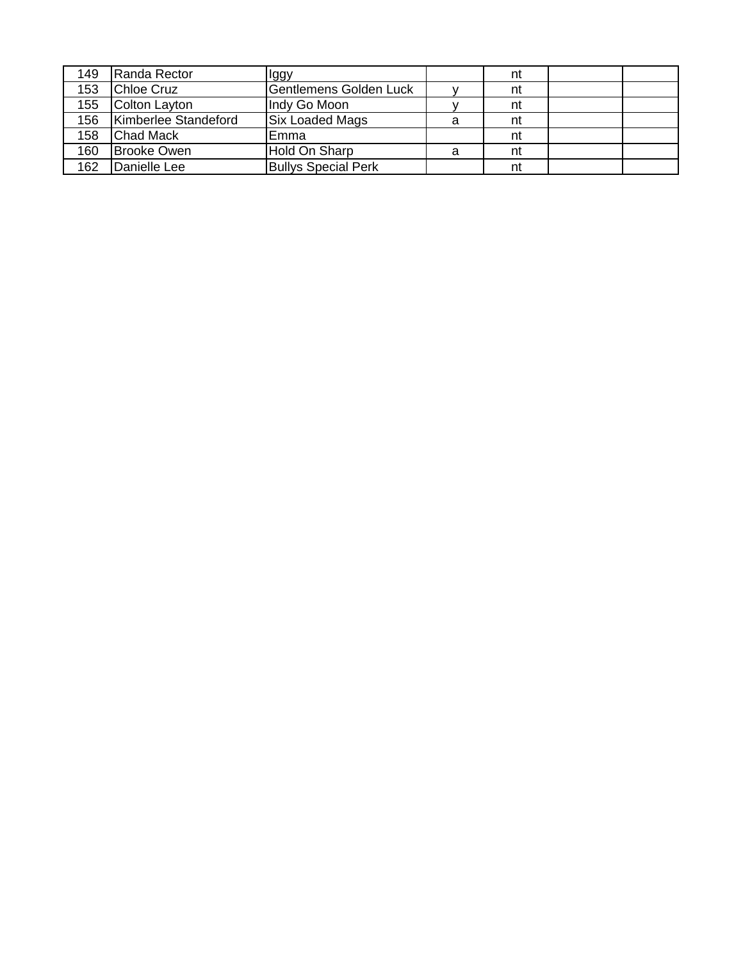| 149 | Randa Rector         | llggy                         |   | nt |  |
|-----|----------------------|-------------------------------|---|----|--|
| 153 | <b>Chloe Cruz</b>    | <b>Gentlemens Golden Luck</b> |   | nt |  |
| 155 | Colton Layton        | Indy Go Moon                  |   | nt |  |
| 156 | Kimberlee Standeford | <b>Six Loaded Mags</b>        | a | nt |  |
| 158 | <b>Chad Mack</b>     | Emma                          |   | nt |  |
| 160 | <b>Brooke Owen</b>   | Hold On Sharp                 | a | nt |  |
| 162 | Danielle Lee         | <b>Bullys Special Perk</b>    |   | nt |  |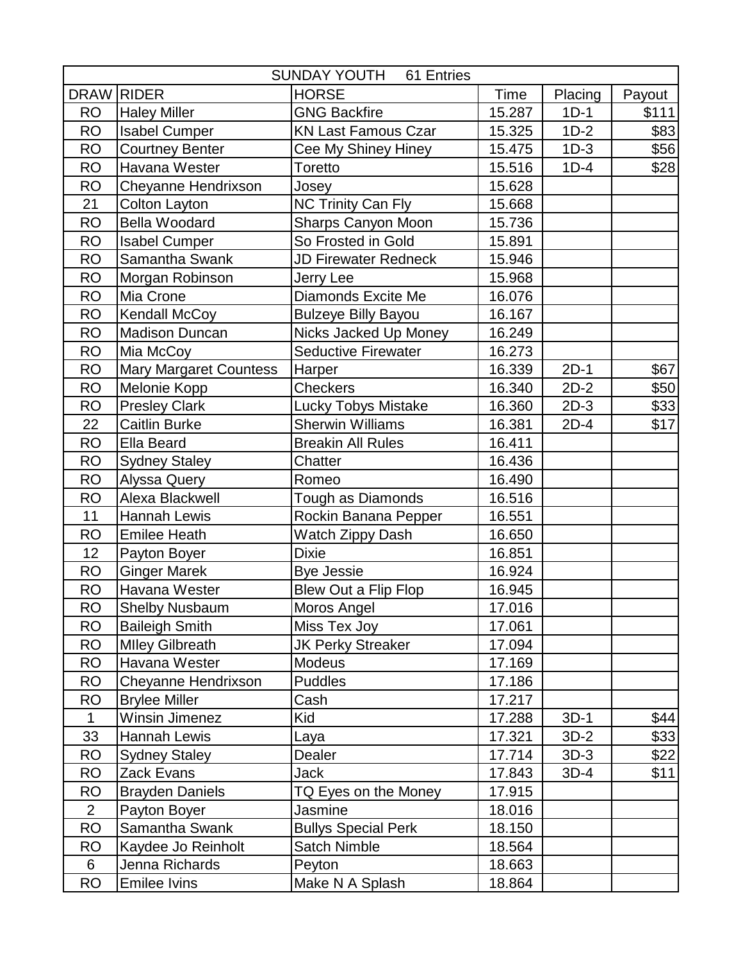| SUNDAY YOUTH<br>61 Entries |                               |                             |        |         |        |
|----------------------------|-------------------------------|-----------------------------|--------|---------|--------|
| <b>DRAW</b>                | <b>RIDER</b>                  | <b>HORSE</b>                | Time   | Placing | Payout |
| <b>RO</b>                  | <b>Haley Miller</b>           | <b>GNG Backfire</b>         | 15.287 | $1D-1$  | \$111  |
| <b>RO</b>                  | <b>Isabel Cumper</b>          | <b>KN Last Famous Czar</b>  | 15.325 | $1D-2$  | \$83   |
| <b>RO</b>                  | <b>Courtney Benter</b>        | Cee My Shiney Hiney         | 15.475 | $1D-3$  | \$56   |
| <b>RO</b>                  | Havana Wester                 | Toretto                     | 15.516 | $1D-4$  | \$28   |
| <b>RO</b>                  | Cheyanne Hendrixson           | Josey                       | 15.628 |         |        |
| 21                         | Colton Layton                 | <b>NC Trinity Can Fly</b>   | 15.668 |         |        |
| <b>RO</b>                  | <b>Bella Woodard</b>          | Sharps Canyon Moon          | 15.736 |         |        |
| <b>RO</b>                  | <b>Isabel Cumper</b>          | So Frosted in Gold          | 15.891 |         |        |
| <b>RO</b>                  | Samantha Swank                | <b>JD Firewater Redneck</b> | 15.946 |         |        |
| <b>RO</b>                  | Morgan Robinson               | Jerry Lee                   | 15.968 |         |        |
| <b>RO</b>                  | Mia Crone                     | Diamonds Excite Me          | 16.076 |         |        |
| <b>RO</b>                  | Kendall McCoy                 | <b>Bulzeye Billy Bayou</b>  | 16.167 |         |        |
| <b>RO</b>                  | <b>Madison Duncan</b>         | Nicks Jacked Up Money       | 16.249 |         |        |
| <b>RO</b>                  | Mia McCoy                     | <b>Seductive Firewater</b>  | 16.273 |         |        |
| <b>RO</b>                  | <b>Mary Margaret Countess</b> | Harper                      | 16.339 | $2D-1$  | \$67   |
| <b>RO</b>                  | Melonie Kopp                  | <b>Checkers</b>             | 16.340 | $2D-2$  | \$50   |
| <b>RO</b>                  | <b>Presley Clark</b>          | <b>Lucky Tobys Mistake</b>  | 16.360 | $2D-3$  | \$33   |
| 22                         | <b>Caitlin Burke</b>          | <b>Sherwin Williams</b>     | 16.381 | $2D-4$  | \$17   |
| <b>RO</b>                  | <b>Ella Beard</b>             | <b>Breakin All Rules</b>    | 16.411 |         |        |
| <b>RO</b>                  | <b>Sydney Staley</b>          | Chatter                     | 16.436 |         |        |
| <b>RO</b>                  | Alyssa Query                  | Romeo                       | 16.490 |         |        |
| <b>RO</b>                  | Alexa Blackwell               | Tough as Diamonds           | 16.516 |         |        |
| 11                         | <b>Hannah Lewis</b>           | Rockin Banana Pepper        | 16.551 |         |        |
| <b>RO</b>                  | <b>Emilee Heath</b>           | Watch Zippy Dash            | 16.650 |         |        |
| 12                         | Payton Boyer                  | <b>Dixie</b>                | 16.851 |         |        |
| <b>RO</b>                  | <b>Ginger Marek</b>           | <b>Bye Jessie</b>           | 16.924 |         |        |
| <b>RO</b>                  | Havana Wester                 | Blew Out a Flip Flop        | 16.945 |         |        |
| <b>RO</b>                  | <b>Shelby Nusbaum</b>         | Moros Angel                 | 17.016 |         |        |
| <b>RO</b>                  | <b>Baileigh Smith</b>         | Miss Tex Joy                | 17.061 |         |        |
| <b>RO</b>                  | <b>Mlley Gilbreath</b>        | <b>JK Perky Streaker</b>    | 17.094 |         |        |
| <b>RO</b>                  | Havana Wester                 | <b>Modeus</b>               | 17.169 |         |        |
| <b>RO</b>                  | Cheyanne Hendrixson           | <b>Puddles</b>              | 17.186 |         |        |
| <b>RO</b>                  | <b>Brylee Miller</b>          | Cash                        | 17.217 |         |        |
| 1                          | Winsin Jimenez                | Kid                         | 17.288 | $3D-1$  | \$44   |
| 33                         | Hannah Lewis                  | Laya                        | 17.321 | $3D-2$  | \$33   |
| <b>RO</b>                  | <b>Sydney Staley</b>          | Dealer                      | 17.714 | $3D-3$  | \$22]  |
| <b>RO</b>                  | Zack Evans                    | Jack                        | 17.843 | $3D-4$  | \$11   |
| <b>RO</b>                  | <b>Brayden Daniels</b>        | TQ Eyes on the Money        | 17.915 |         |        |
| $\overline{2}$             | Payton Boyer                  | Jasmine                     | 18.016 |         |        |
| <b>RO</b>                  | Samantha Swank                | <b>Bullys Special Perk</b>  | 18.150 |         |        |
| <b>RO</b>                  | Kaydee Jo Reinholt            | <b>Satch Nimble</b>         | 18.564 |         |        |
| 6                          | Jenna Richards                | Peyton                      | 18.663 |         |        |
| <b>RO</b>                  | Emilee Ivins                  | Make N A Splash             | 18.864 |         |        |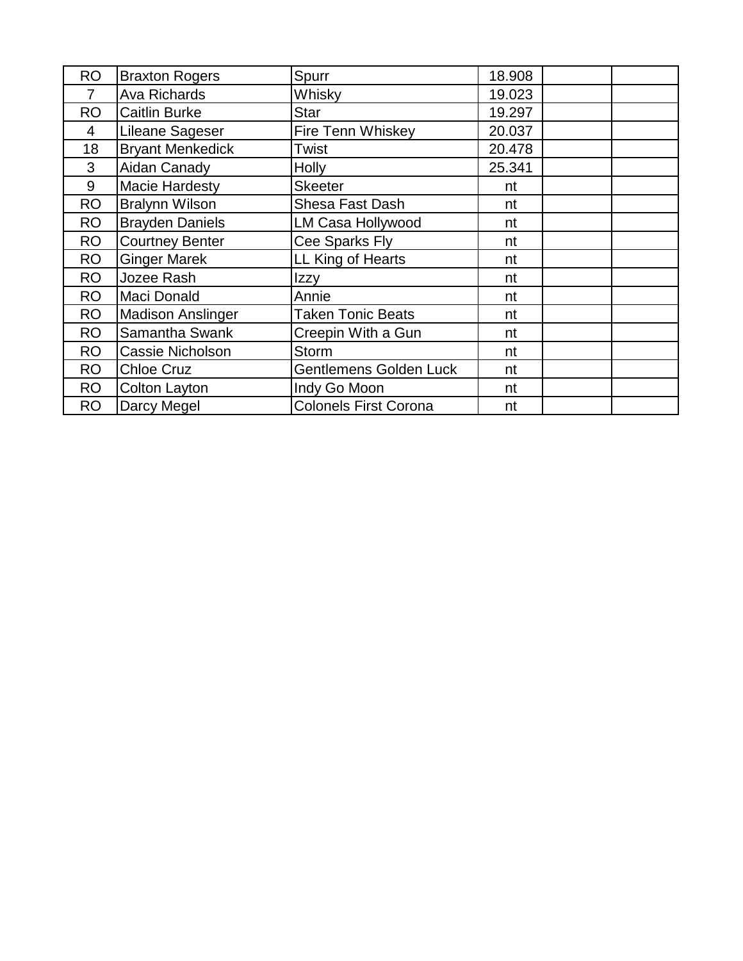| <b>RO</b> | <b>Braxton Rogers</b>    | Spurr                         | 18.908 |
|-----------|--------------------------|-------------------------------|--------|
| 7         | Ava Richards             | Whisky                        | 19.023 |
| <b>RO</b> | <b>Caitlin Burke</b>     | <b>Star</b>                   | 19.297 |
| 4         | Lileane Sageser          | Fire Tenn Whiskey             | 20.037 |
| 18        | <b>Bryant Menkedick</b>  | Twist                         | 20.478 |
| 3         | Aidan Canady             | <b>Holly</b>                  | 25.341 |
| 9         | <b>Macie Hardesty</b>    | <b>Skeeter</b>                | nt     |
| <b>RO</b> | <b>Bralynn Wilson</b>    | Shesa Fast Dash               | nt     |
| RO        | <b>Brayden Daniels</b>   | LM Casa Hollywood             | nt     |
| <b>RO</b> | <b>Courtney Benter</b>   | Cee Sparks Fly                | nt     |
| <b>RO</b> | <b>Ginger Marek</b>      | LL King of Hearts             | nt     |
| <b>RO</b> | Jozee Rash               | Izzy                          | nt     |
| <b>RO</b> | Maci Donald              | Annie                         | nt     |
| <b>RO</b> | <b>Madison Anslinger</b> | <b>Taken Tonic Beats</b>      | nt     |
| <b>RO</b> | Samantha Swank           | Creepin With a Gun            | nt     |
| <b>RO</b> | Cassie Nicholson         | <b>Storm</b>                  | nt     |
| <b>RO</b> | <b>Chloe Cruz</b>        | <b>Gentlemens Golden Luck</b> | nt     |
| <b>RO</b> | Colton Layton            | Indy Go Moon                  | nt     |
| <b>RO</b> | Darcy Megel              | <b>Colonels First Corona</b>  | nt     |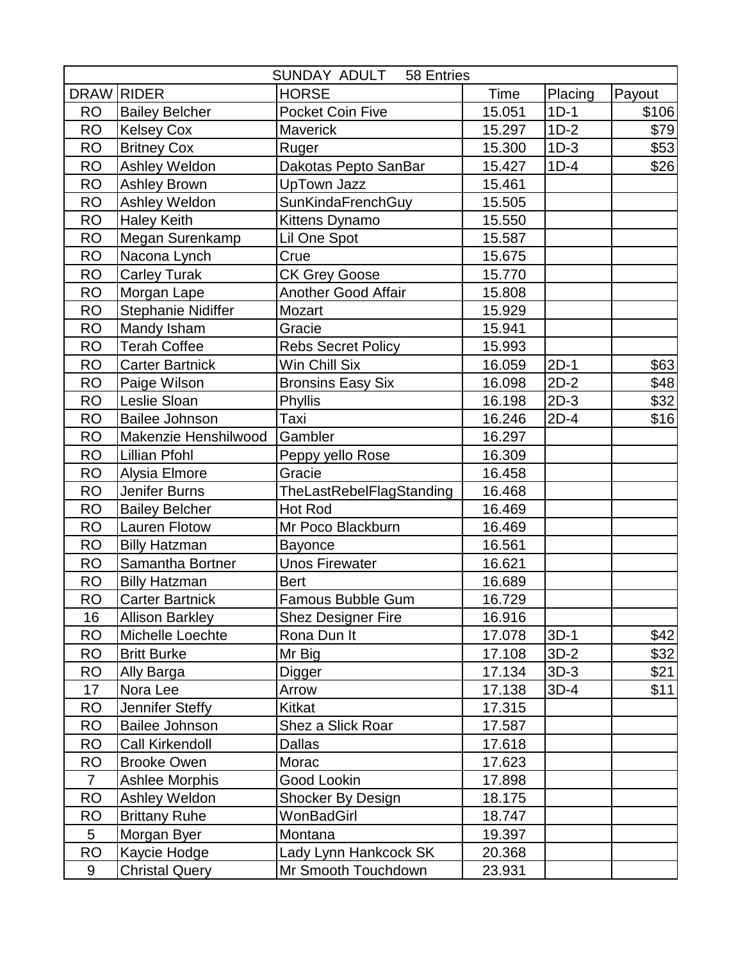|                 |                        | SUNDAY ADULT<br>58 Entries |             |         |        |
|-----------------|------------------------|----------------------------|-------------|---------|--------|
| <b>DRAW</b>     | <b>RIDER</b>           | <b>HORSE</b>               | <b>Time</b> | Placing | Payout |
| <b>RO</b>       | <b>Bailey Belcher</b>  | <b>Pocket Coin Five</b>    | 15.051      | $1D-1$  | \$106  |
| <b>RO</b>       | <b>Kelsey Cox</b>      | Maverick                   | 15.297      | $1D-2$  | \$79   |
| <b>RO</b>       | <b>Britney Cox</b>     | Ruger                      | 15.300      | $1D-3$  | \$53   |
| <b>RO</b>       | Ashley Weldon          | Dakotas Pepto SanBar       | 15.427      | $1D-4$  | \$26   |
| <b>RO</b>       | <b>Ashley Brown</b>    | <b>UpTown Jazz</b>         | 15.461      |         |        |
| <b>RO</b>       | Ashley Weldon          | SunKindaFrenchGuy          | 15.505      |         |        |
| <b>RO</b>       | <b>Haley Keith</b>     | Kittens Dynamo             | 15.550      |         |        |
| <b>RO</b>       | Megan Surenkamp        | Lil One Spot               | 15.587      |         |        |
| <b>RO</b>       | Nacona Lynch           | Crue                       | 15.675      |         |        |
| <b>RO</b>       | <b>Carley Turak</b>    | <b>CK Grey Goose</b>       | 15.770      |         |        |
| <b>RO</b>       | Morgan Lape            | <b>Another Good Affair</b> | 15.808      |         |        |
| <b>RO</b>       | Stephanie Nidiffer     | Mozart                     | 15.929      |         |        |
| <b>RO</b>       | Mandy Isham            | Gracie                     | 15.941      |         |        |
| <b>RO</b>       | <b>Terah Coffee</b>    | <b>Rebs Secret Policy</b>  | 15.993      |         |        |
| <b>RO</b>       | <b>Carter Bartnick</b> | Win Chill Six              | 16.059      | $2D-1$  | \$63]  |
| <b>RO</b>       | Paige Wilson           | <b>Bronsins Easy Six</b>   | 16.098      | $2D-2$  | \$48]  |
| <b>RO</b>       | Leslie Sloan           | Phyllis                    | 16.198      | $2D-3$  | \$32   |
| <b>RO</b>       | <b>Bailee Johnson</b>  | Taxi                       | 16.246      | $2D-4$  | \$16   |
| <b>RO</b>       | Makenzie Henshilwood   | Gambler                    | 16.297      |         |        |
| <b>RO</b>       | Lillian Pfohl          | Peppy yello Rose           | 16.309      |         |        |
| <b>RO</b>       | Alysia Elmore          | Gracie                     | 16.458      |         |        |
| <b>RO</b>       | Jenifer Burns          | TheLastRebelFlagStanding   | 16.468      |         |        |
| <b>RO</b>       | <b>Bailey Belcher</b>  | <b>Hot Rod</b>             | 16.469      |         |        |
| <b>RO</b>       | <b>Lauren Flotow</b>   | Mr Poco Blackburn          | 16.469      |         |        |
| <b>RO</b>       | <b>Billy Hatzman</b>   | <b>Bayonce</b>             | 16.561      |         |        |
| <b>RO</b>       | Samantha Bortner       | <b>Unos Firewater</b>      | 16.621      |         |        |
| <b>RO</b>       | <b>Billy Hatzman</b>   | <b>Bert</b>                | 16.689      |         |        |
| <b>RO</b>       | <b>Carter Bartnick</b> | Famous Bubble Gum          | 16.729      |         |        |
| 16              | <b>Allison Barkley</b> | <b>Shez Designer Fire</b>  | 16.916      |         |        |
| <b>RO</b>       | Michelle Loechte       | Rona Dun It                | 17.078      | $3D-1$  | \$42   |
| <b>RO</b>       | <b>Britt Burke</b>     | Mr Big                     | 17.108      | $3D-2$  | \$32]  |
| <b>RO</b>       | Ally Barga             | Digger                     | 17.134      | $3D-3$  | \$21   |
| 17              | Nora Lee               | Arrow                      | 17.138      | $3D-4$  | \$11   |
| <b>RO</b>       | Jennifer Steffy        | Kitkat                     | 17.315      |         |        |
| <b>RO</b>       | Bailee Johnson         | Shez a Slick Roar          | 17.587      |         |        |
| <b>RO</b>       | Call Kirkendoll        | <b>Dallas</b>              | 17.618      |         |        |
| <b>RO</b>       | <b>Brooke Owen</b>     | Morac                      | 17.623      |         |        |
| $\overline{7}$  | <b>Ashlee Morphis</b>  | Good Lookin                | 17.898      |         |        |
| <b>RO</b>       | Ashley Weldon          | Shocker By Design          | 18.175      |         |        |
| <b>RO</b>       | <b>Brittany Ruhe</b>   | WonBadGirl                 | 18.747      |         |        |
| $5\phantom{.0}$ | Morgan Byer            | Montana                    | 19.397      |         |        |
| <b>RO</b>       | Kaycie Hodge           | Lady Lynn Hankcock SK      | 20.368      |         |        |
| 9               | <b>Christal Query</b>  | Mr Smooth Touchdown        | 23.931      |         |        |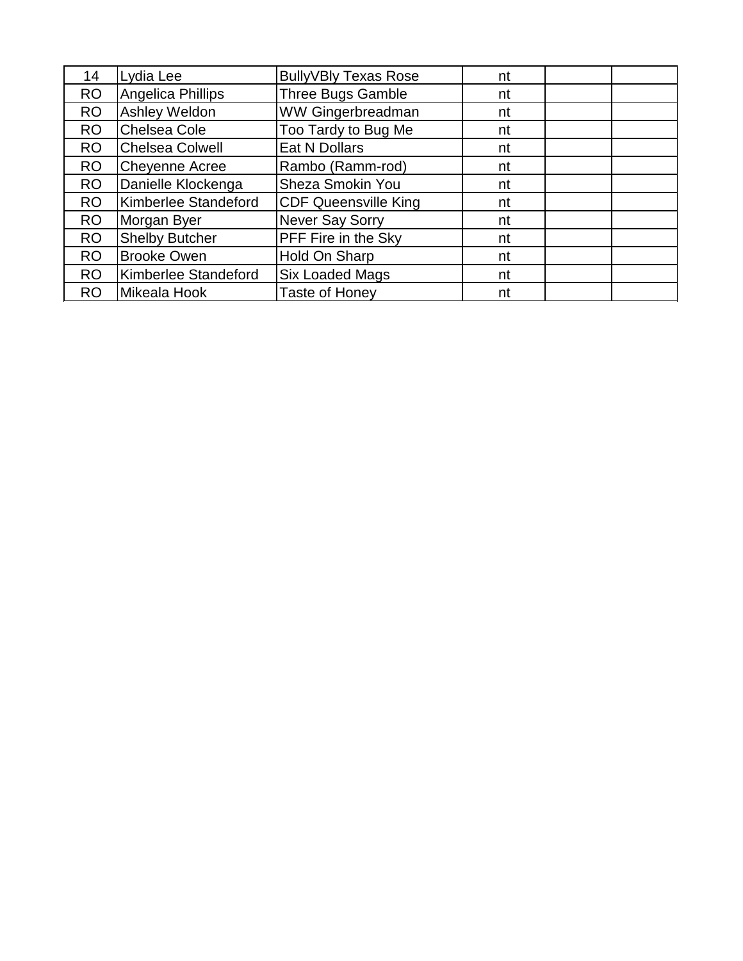| 14        | Lydia Lee              | <b>BullyVBly Texas Rose</b> | nt |  |
|-----------|------------------------|-----------------------------|----|--|
| <b>RO</b> | Angelica Phillips      | <b>Three Bugs Gamble</b>    | nt |  |
| <b>RO</b> | Ashley Weldon          | <b>WW Gingerbreadman</b>    | nt |  |
| <b>RO</b> | <b>Chelsea Cole</b>    | Too Tardy to Bug Me         | nt |  |
| <b>RO</b> | <b>Chelsea Colwell</b> | Eat N Dollars               | nt |  |
| <b>RO</b> | <b>Cheyenne Acree</b>  | Rambo (Ramm-rod)            | nt |  |
| <b>RO</b> | Danielle Klockenga     | Sheza Smokin You            | nt |  |
| <b>RO</b> | Kimberlee Standeford   | <b>CDF Queensville King</b> | nt |  |
| <b>RO</b> | Morgan Byer            | <b>Never Say Sorry</b>      | nt |  |
| <b>RO</b> | <b>Shelby Butcher</b>  | PFF Fire in the Sky         | nt |  |
| <b>RO</b> | <b>Brooke Owen</b>     | Hold On Sharp               | nt |  |
| <b>RO</b> | Kimberlee Standeford   | <b>Six Loaded Mags</b>      | nt |  |
| <b>RO</b> | Mikeala Hook           | <b>Taste of Honey</b>       | nt |  |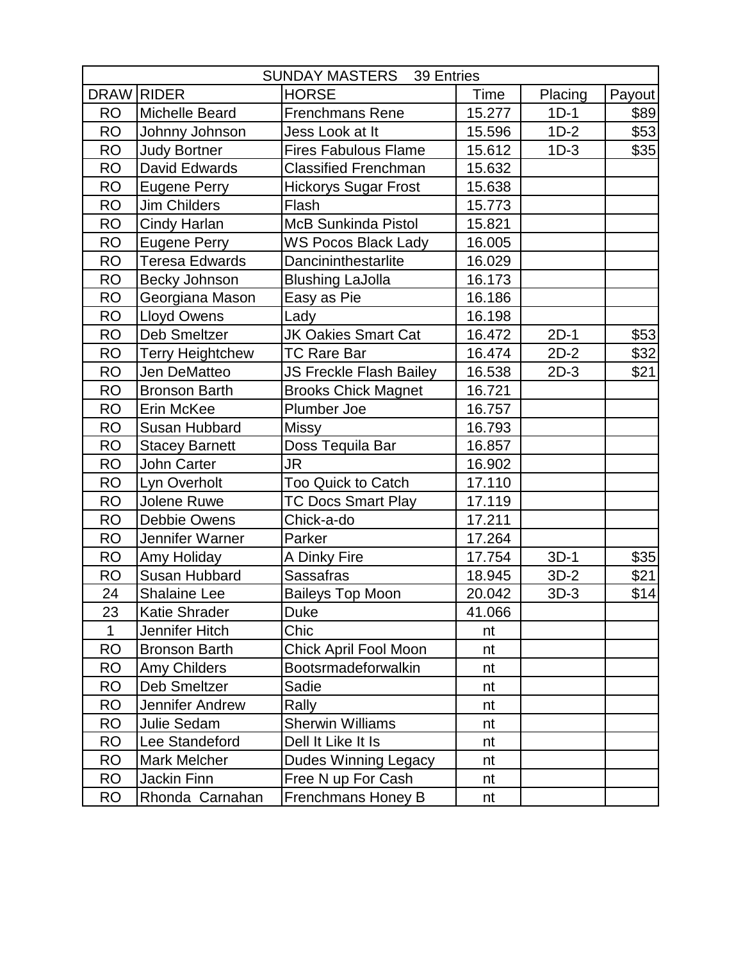|              |                         | <b>SUNDAY MASTERS</b> 39 Entries |        |         |        |
|--------------|-------------------------|----------------------------------|--------|---------|--------|
| <b>DRAW</b>  | <b>RIDER</b>            | <b>HORSE</b>                     | Time   | Placing | Payout |
| <b>RO</b>    | <b>Michelle Beard</b>   | <b>Frenchmans Rene</b>           | 15.277 | $1D-1$  | \$89   |
| <b>RO</b>    | Johnny Johnson          | Jess Look at It                  | 15.596 | $1D-2$  | \$53   |
| <b>RO</b>    | <b>Judy Bortner</b>     | <b>Fires Fabulous Flame</b>      | 15.612 | $1D-3$  | \$35   |
| <b>RO</b>    | David Edwards           | <b>Classified Frenchman</b>      | 15.632 |         |        |
| <b>RO</b>    | <b>Eugene Perry</b>     | <b>Hickorys Sugar Frost</b>      | 15.638 |         |        |
| <b>RO</b>    | <b>Jim Childers</b>     | Flash                            | 15.773 |         |        |
| <b>RO</b>    | Cindy Harlan            | <b>McB Sunkinda Pistol</b>       | 15.821 |         |        |
| <b>RO</b>    | <b>Eugene Perry</b>     | <b>WS Pocos Black Lady</b>       | 16.005 |         |        |
| <b>RO</b>    | <b>Teresa Edwards</b>   | Dancininthestarlite              | 16.029 |         |        |
| <b>RO</b>    | Becky Johnson           | <b>Blushing LaJolla</b>          | 16.173 |         |        |
| <b>RO</b>    | Georgiana Mason         | Easy as Pie                      | 16.186 |         |        |
| <b>RO</b>    | Lloyd Owens             | Lady                             | 16.198 |         |        |
| <b>RO</b>    | <b>Deb Smeltzer</b>     | <b>JK Oakies Smart Cat</b>       | 16.472 | $2D-1$  | \$53   |
| <b>RO</b>    | <b>Terry Heightchew</b> | <b>TC Rare Bar</b>               | 16.474 | $2D-2$  | \$32   |
| <b>RO</b>    | Jen DeMatteo            | <b>JS Freckle Flash Bailey</b>   | 16.538 | $2D-3$  | \$21   |
| <b>RO</b>    | <b>Bronson Barth</b>    | <b>Brooks Chick Magnet</b>       | 16.721 |         |        |
| <b>RO</b>    | Erin McKee              | Plumber Joe                      | 16.757 |         |        |
| <b>RO</b>    | Susan Hubbard           | <b>Missy</b>                     | 16.793 |         |        |
| <b>RO</b>    | <b>Stacey Barnett</b>   | Doss Tequila Bar                 | 16.857 |         |        |
| <b>RO</b>    | <b>John Carter</b>      | <b>JR</b>                        | 16.902 |         |        |
| <b>RO</b>    | Lyn Overholt            | <b>Too Quick to Catch</b>        | 17.110 |         |        |
| <b>RO</b>    | Jolene Ruwe             | <b>TC Docs Smart Play</b>        | 17.119 |         |        |
| <b>RO</b>    | Debbie Owens            | Chick-a-do                       | 17.211 |         |        |
| <b>RO</b>    | Jennifer Warner         | Parker                           | 17.264 |         |        |
| <b>RO</b>    | Amy Holiday             | A Dinky Fire                     | 17.754 | $3D-1$  | \$35   |
| <b>RO</b>    | Susan Hubbard           | <b>Sassafras</b>                 | 18.945 | $3D-2$  | \$21   |
| 24           | Shalaine Lee            | <b>Baileys Top Moon</b>          | 20.042 | $3D-3$  | \$14   |
| 23           | Katie Shrader           | <b>Duke</b>                      | 41.066 |         |        |
| $\mathbf{1}$ | Jennifer Hitch          | Chic                             | nt     |         |        |
| <b>RO</b>    | <b>Bronson Barth</b>    | <b>Chick April Fool Moon</b>     | nt     |         |        |
| <b>RO</b>    | Amy Childers            | Bootsrmadeforwalkin              | nt     |         |        |
| <b>RO</b>    | Deb Smeltzer            | Sadie                            | nt     |         |        |
| <b>RO</b>    | Jennifer Andrew         | Rally                            | nt     |         |        |
| <b>RO</b>    | <b>Julie Sedam</b>      | <b>Sherwin Williams</b>          | nt     |         |        |
| <b>RO</b>    | Lee Standeford          | Dell It Like It Is               | nt     |         |        |
| <b>RO</b>    | <b>Mark Melcher</b>     | <b>Dudes Winning Legacy</b>      | nt     |         |        |
| <b>RO</b>    | Jackin Finn             | Free N up For Cash               | nt     |         |        |
| <b>RO</b>    | Rhonda Carnahan         | Frenchmans Honey B               | nt     |         |        |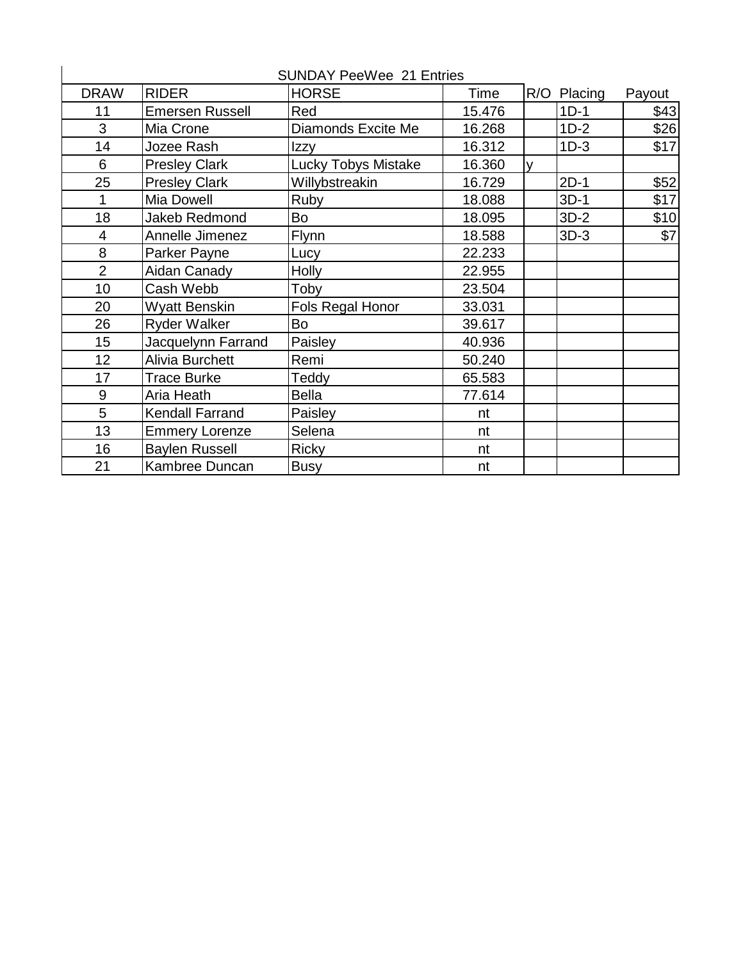|                 |                        | <b>SUNDAY PeeWee 21 Entries</b> |        |   |             |        |
|-----------------|------------------------|---------------------------------|--------|---|-------------|--------|
| <b>DRAW</b>     | <b>RIDER</b>           | <b>HORSE</b>                    | Time   |   | R/O Placing | Payout |
| 11              | <b>Emersen Russell</b> | Red                             | 15.476 |   | $1D-1$      | \$43   |
| 3               | Mia Crone              | Diamonds Excite Me              | 16.268 |   | $1D-2$      | \$26   |
| 14              | Jozee Rash             | Izzy                            | 16.312 |   | $1D-3$      | \$17   |
| 6               | <b>Presley Clark</b>   | <b>Lucky Tobys Mistake</b>      | 16.360 | V |             |        |
| 25              | <b>Presley Clark</b>   | Willybstreakin                  | 16.729 |   | $2D-1$      | \$52   |
| 1               | <b>Mia Dowell</b>      | Ruby                            | 18.088 |   | $3D-1$      | \$17   |
| 18              | <b>Jakeb Redmond</b>   | Bo                              | 18.095 |   | $3D-2$      | \$10   |
| 4               | Annelle Jimenez        | <b>Flynn</b>                    | 18.588 |   | $3D-3$      | \$7    |
| 8               | Parker Payne           | Lucy                            | 22.233 |   |             |        |
| $\overline{2}$  | Aidan Canady           | <b>Holly</b>                    | 22.955 |   |             |        |
| 10              | Cash Webb              | Toby                            | 23.504 |   |             |        |
| 20              | <b>Wyatt Benskin</b>   | Fols Regal Honor                | 33.031 |   |             |        |
| 26              | <b>Ryder Walker</b>    | <b>Bo</b>                       | 39.617 |   |             |        |
| 15              | Jacquelynn Farrand     | Paisley                         | 40.936 |   |             |        |
| 12 <sub>2</sub> | Alivia Burchett        | Remi                            | 50.240 |   |             |        |
| 17              | <b>Trace Burke</b>     | Teddy                           | 65.583 |   |             |        |
| 9               | Aria Heath             | <b>Bella</b>                    | 77.614 |   |             |        |
| 5               | <b>Kendall Farrand</b> | Paisley                         | nt     |   |             |        |
| 13              | <b>Emmery Lorenze</b>  | Selena                          | nt     |   |             |        |
| 16              | <b>Baylen Russell</b>  | <b>Ricky</b>                    | nt     |   |             |        |
| 21              | Kambree Duncan         | <b>Busy</b>                     | nt     |   |             |        |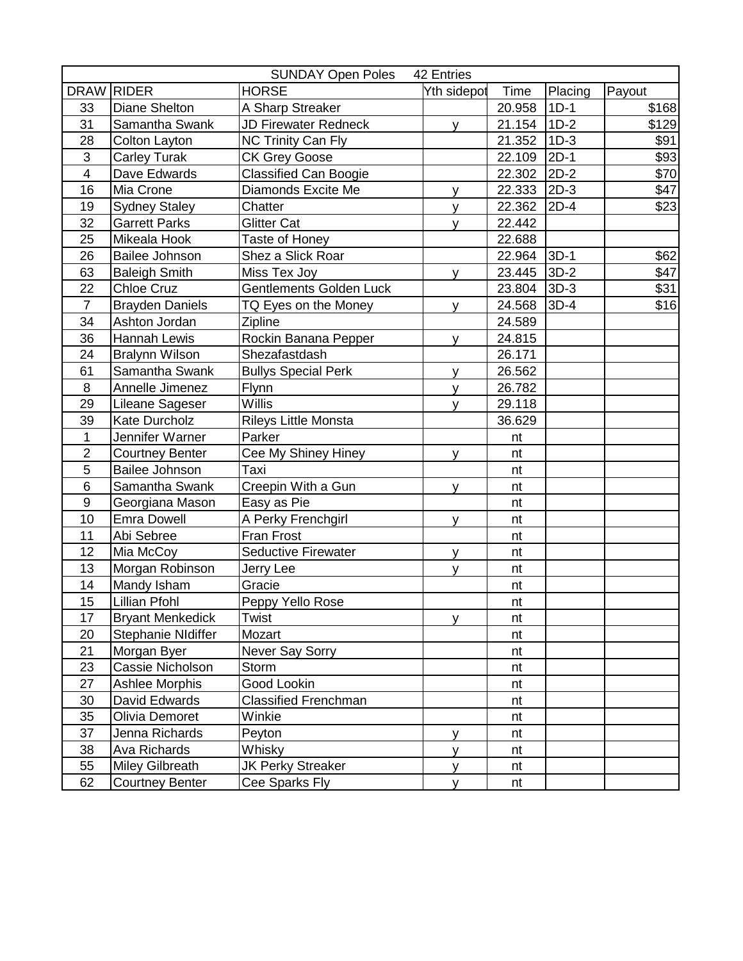|                  |                         | <b>SUNDAY Open Poles</b>       | 42 Entries  |        |         |        |
|------------------|-------------------------|--------------------------------|-------------|--------|---------|--------|
|                  | DRAW RIDER              | <b>HORSE</b>                   | Yth sidepot | Time   | Placing | Payout |
| 33               | Diane Shelton           | A Sharp Streaker               |             | 20.958 | $1D-1$  | \$168  |
| 31               | Samantha Swank          | <b>JD Firewater Redneck</b>    | y.          | 21.154 | $1D-2$  | \$129  |
| 28               | Colton Layton           | <b>NC Trinity Can Fly</b>      |             | 21.352 | $1D-3$  | \$91   |
| $\mathfrak{S}$   | <b>Carley Turak</b>     | <b>CK Grey Goose</b>           |             | 22.109 | $2D-1$  | \$93   |
| $\overline{4}$   | Dave Edwards            | Classified Can Boogie          |             | 22.302 | $2D-2$  | \$70   |
| 16               | Mia Crone               | Diamonds Excite Me             | У           | 22.333 | $2D-3$  | \$47   |
| 19               | <b>Sydney Staley</b>    | Chatter                        | y           | 22.362 | $2D-4$  | \$23   |
| 32               | <b>Garrett Parks</b>    | <b>Glitter Cat</b>             | V           | 22.442 |         |        |
| 25               | Mikeala Hook            | Taste of Honey                 |             | 22.688 |         |        |
| 26               | Bailee Johnson          | Shez a Slick Roar              |             | 22.964 | $3D-1$  | \$62   |
| 63               | <b>Baleigh Smith</b>    | Miss Tex Joy                   | <b>y</b>    | 23.445 | $3D-2$  | \$47   |
| 22               | <b>Chloe Cruz</b>       | <b>Gentlements Golden Luck</b> |             | 23.804 | $3D-3$  | \$31   |
| $\overline{7}$   | <b>Brayden Daniels</b>  | TQ Eyes on the Money           | <b>V</b>    | 24.568 | $3D-4$  | \$16   |
| 34               | Ashton Jordan           | Zipline                        |             | 24.589 |         |        |
| 36               | Hannah Lewis            | Rockin Banana Pepper           | <b>V</b>    | 24.815 |         |        |
| 24               | <b>Bralynn Wilson</b>   | Shezafastdash                  |             | 26.171 |         |        |
| 61               | Samantha Swank          | <b>Bullys Special Perk</b>     | y           | 26.562 |         |        |
| 8                | Annelle Jimenez         | <b>Flynn</b>                   | y           | 26.782 |         |        |
| 29               | Lileane Sageser         | Willis                         | v           | 29.118 |         |        |
| 39               | Kate Durcholz           | Rileys Little Monsta           |             | 36.629 |         |        |
| $\mathbf{1}$     | Jennifer Warner         | Parker                         |             | nt     |         |        |
| $\overline{2}$   | <b>Courtney Benter</b>  | Cee My Shiney Hiney            | y           | nt     |         |        |
| 5                | Bailee Johnson          | Taxi                           |             | nt     |         |        |
| $6\phantom{1}6$  | Samantha Swank          | Creepin With a Gun             | y           | nt     |         |        |
| $\boldsymbol{9}$ | Georgiana Mason         | Easy as Pie                    |             | nt     |         |        |
| 10               | <b>Emra Dowell</b>      | A Perky Frenchgirl             | <b>V</b>    | nt     |         |        |
| 11               | Abi Sebree              | Fran Frost                     |             | nt     |         |        |
| 12               | Mia McCoy               | Seductive Firewater            | У           | nt     |         |        |
| 13               | Morgan Robinson         | Jerry Lee                      | y           | nt     |         |        |
| 14               | Mandy Isham             | Gracie                         |             | nt     |         |        |
| 15               | <b>Lillian Pfohl</b>    | Peppy Yello Rose               |             | nt     |         |        |
| 17               | <b>Bryant Menkedick</b> | Twist                          | V.          | nt     |         |        |
| 20               | Stephanie NIdiffer      | Mozart                         |             | nt     |         |        |
| 21               | Morgan Byer             | Never Say Sorry                |             | nt     |         |        |
| 23               | Cassie Nicholson        | Storm                          |             | nt     |         |        |
| 27               | Ashlee Morphis          | Good Lookin                    |             | nt     |         |        |
| 30               | David Edwards           | <b>Classified Frenchman</b>    |             | nt     |         |        |
| 35               | Olivia Demoret          | Winkie                         |             | nt     |         |        |
| 37               | Jenna Richards          | Peyton                         | У           | nt     |         |        |
| 38               | Ava Richards            | Whisky                         | y           | nt     |         |        |
| 55               | Miley Gilbreath         | <b>JK Perky Streaker</b>       | y           | nt     |         |        |
| 62               | <b>Courtney Benter</b>  | Cee Sparks Fly                 | y           | nt     |         |        |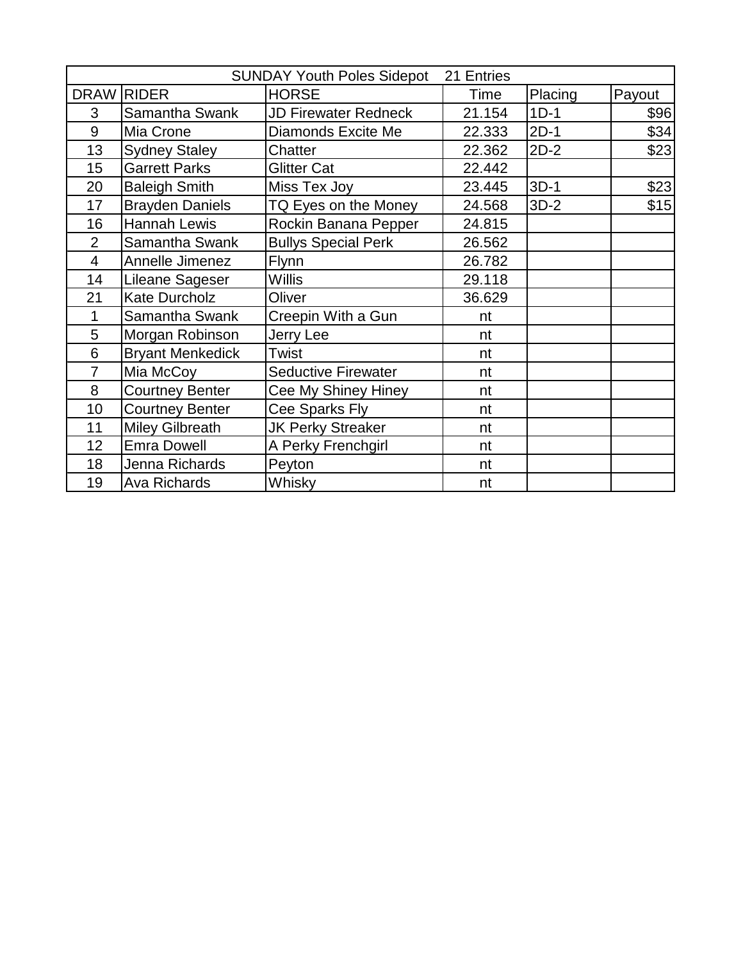|                |                         | <b>SUNDAY Youth Poles Sidepot</b> | 21 Entries |         |        |
|----------------|-------------------------|-----------------------------------|------------|---------|--------|
|                | DRAW RIDER              | <b>HORSE</b>                      | Time       | Placing | Payout |
| 3              | Samantha Swank          | <b>JD Firewater Redneck</b>       | 21.154     | $1D-1$  | \$96   |
| 9              | Mia Crone               | Diamonds Excite Me                | 22.333     | $2D-1$  | \$34   |
| 13             | <b>Sydney Staley</b>    | Chatter                           | 22.362     | $2D-2$  | \$23   |
| 15             | <b>Garrett Parks</b>    | <b>Glitter Cat</b>                | 22.442     |         |        |
| 20             | <b>Baleigh Smith</b>    | Miss Tex Joy                      | 23.445     | $3D-1$  | \$23   |
| 17             | <b>Brayden Daniels</b>  | TQ Eyes on the Money              | 24.568     | $3D-2$  | \$15   |
| 16             | <b>Hannah Lewis</b>     | Rockin Banana Pepper              | 24.815     |         |        |
| $\overline{2}$ | Samantha Swank          | <b>Bullys Special Perk</b>        | 26.562     |         |        |
| $\overline{4}$ | Annelle Jimenez         | Flynn                             | 26.782     |         |        |
| 14             | <b>Lileane Sageser</b>  | <b>Willis</b>                     | 29.118     |         |        |
| 21             | <b>Kate Durcholz</b>    | Oliver                            | 36.629     |         |        |
| 1              | Samantha Swank          | Creepin With a Gun                | nt         |         |        |
| 5              | Morgan Robinson         | Jerry Lee                         | nt         |         |        |
| 6              | <b>Bryant Menkedick</b> | Twist                             | nt         |         |        |
| $\overline{7}$ | Mia McCoy               | <b>Seductive Firewater</b>        | nt         |         |        |
| 8              | <b>Courtney Benter</b>  | Cee My Shiney Hiney               | nt         |         |        |
| 10             | <b>Courtney Benter</b>  | Cee Sparks Fly                    | nt         |         |        |
| 11             | <b>Miley Gilbreath</b>  | <b>JK Perky Streaker</b>          | nt         |         |        |
| 12             | <b>Emra Dowell</b>      | A Perky Frenchgirl                | nt         |         |        |
| 18             | Jenna Richards          | Peyton                            | nt         |         |        |
| 19             | Ava Richards            | Whisky                            | nt         |         |        |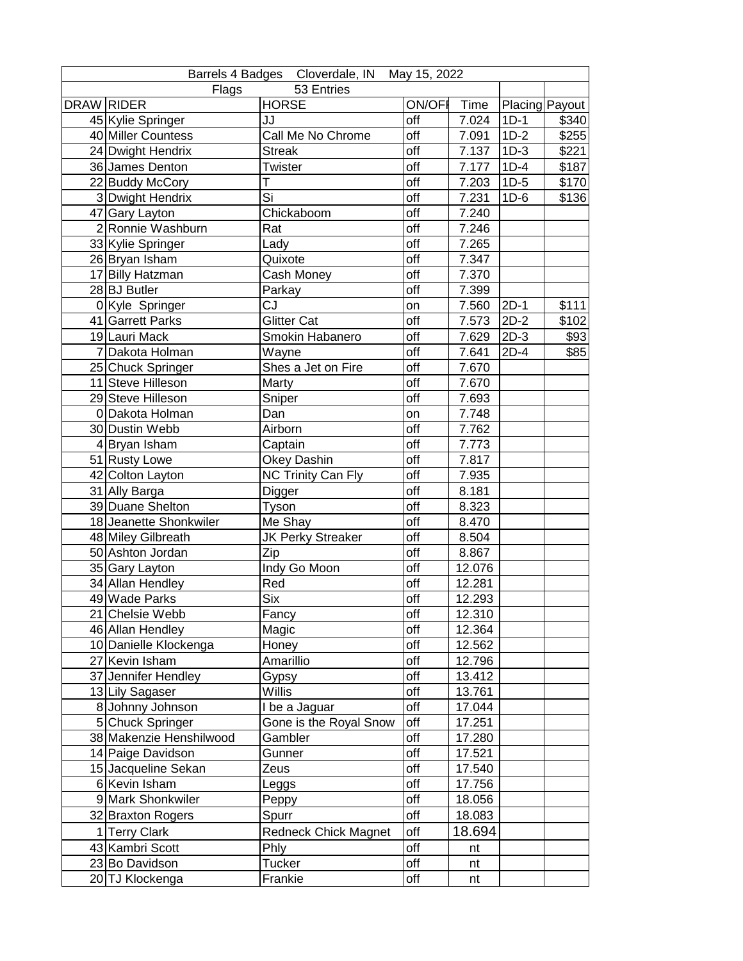| Barrels 4 Badges Cloverdale, IN May 15, 2022 |                         |                             |               |        |        |                |  |
|----------------------------------------------|-------------------------|-----------------------------|---------------|--------|--------|----------------|--|
| 53 Entries<br>Flags                          |                         |                             |               |        |        |                |  |
| <b>DRAW RIDER</b>                            |                         | <b>HORSE</b>                | <b>ON/OFF</b> | Time   |        | Placing Payout |  |
|                                              | 45 Kylie Springer       | JJ                          | off           | 7.024  | $1D-1$ | \$340          |  |
|                                              | 40 Miller Countess      | Call Me No Chrome           | off           | 7.091  | $1D-2$ | \$255          |  |
|                                              | 24 Dwight Hendrix       | <b>Streak</b>               | off           | 7.137  | $1D-3$ | \$221          |  |
|                                              | 36 James Denton         | Twister                     | off           | 7.177  | $1D-4$ | \$187          |  |
|                                              | 22 Buddy McCory         | т                           | off           | 7.203  | $1D-5$ | \$170          |  |
|                                              | 3 Dwight Hendrix        | Si                          | off           | 7.231  | $1D-6$ | \$136          |  |
|                                              | 47 Gary Layton          | Chickaboom                  | off           | 7.240  |        |                |  |
|                                              | 2 Ronnie Washburn       | Rat                         | off           | 7.246  |        |                |  |
|                                              | 33 Kylie Springer       | Lady                        | off           | 7.265  |        |                |  |
|                                              | 26 Bryan Isham          | Quixote                     | off           | 7.347  |        |                |  |
|                                              | 17 Billy Hatzman        | Cash Money                  | off           | 7.370  |        |                |  |
|                                              | 28 BJ Butler            | Parkay                      | off           | 7.399  |        |                |  |
|                                              | 0 Kyle Springer         | CJ                          | on            | 7.560  | $2D-1$ | \$111          |  |
|                                              | 41 Garrett Parks        | Glitter Cat                 | off           | 7.573  | $2D-2$ | \$102          |  |
|                                              | 19 Lauri Mack           | Smokin Habanero             | off           | 7.629  | $2D-3$ | \$93           |  |
|                                              | 7 Dakota Holman         | Wayne                       | off           | 7.641  | $2D-4$ | \$85           |  |
|                                              | 25 Chuck Springer       | Shes a Jet on Fire          | off           | 7.670  |        |                |  |
|                                              | 11 Steve Hilleson       | Marty                       | off           | 7.670  |        |                |  |
|                                              | 29 Steve Hilleson       | Sniper                      | off           | 7.693  |        |                |  |
|                                              | 0 Dakota Holman         | Dan                         | on            | 7.748  |        |                |  |
|                                              | 30 Dustin Webb          | Airborn                     | off           | 7.762  |        |                |  |
|                                              | 4 Bryan Isham           | Captain                     | off           | 7.773  |        |                |  |
|                                              | 51 Rusty Lowe           | Okey Dashin                 | off           | 7.817  |        |                |  |
|                                              | 42 Colton Layton        | <b>NC Trinity Can Fly</b>   | off           | 7.935  |        |                |  |
|                                              | 31 Ally Barga           | Digger                      | off           | 8.181  |        |                |  |
|                                              | 39 Duane Shelton        | Tyson                       | off           | 8.323  |        |                |  |
|                                              | 18 Jeanette Shonkwiler  | Me Shay                     | off           | 8.470  |        |                |  |
|                                              | 48 Miley Gilbreath      | JK Perky Streaker           | off           | 8.504  |        |                |  |
|                                              | 50 Ashton Jordan        | Zip                         | off           | 8.867  |        |                |  |
|                                              | 35 Gary Layton          | Indy Go Moon                | off           | 12.076 |        |                |  |
|                                              | 34 Allan Hendley        | Red                         | off           | 12.281 |        |                |  |
|                                              | 49 Wade Parks           | Six                         | off           | 12.293 |        |                |  |
|                                              | 21 Chelsie Webb         | Fancy                       | off           | 12.310 |        |                |  |
|                                              | 46 Allan Hendley        | Magic                       | off           | 12.364 |        |                |  |
|                                              | 10 Danielle Klockenga   | Honey                       | off           | 12.562 |        |                |  |
|                                              | 27 Kevin Isham          | Amarillio                   | off           | 12.796 |        |                |  |
|                                              | 37 Jennifer Hendley     | Gypsy                       | off           | 13.412 |        |                |  |
|                                              | 13 Lily Sagaser         | Willis                      | off           | 13.761 |        |                |  |
|                                              | 8 Johnny Johnson        | I be a Jaguar               | off           | 17.044 |        |                |  |
|                                              | 5 Chuck Springer        | Gone is the Royal Snow      | off           | 17.251 |        |                |  |
|                                              | 38 Makenzie Henshilwood | Gambler                     | off           | 17.280 |        |                |  |
|                                              | 14 Paige Davidson       | Gunner                      | off           | 17.521 |        |                |  |
|                                              | 15 Jacqueline Sekan     | Zeus                        | off           | 17.540 |        |                |  |
|                                              | 6 Kevin Isham           | Leggs                       | off           | 17.756 |        |                |  |
|                                              | 9 Mark Shonkwiler       | Peppy                       | off           | 18.056 |        |                |  |
|                                              | 32 Braxton Rogers       | Spurr                       | off           | 18.083 |        |                |  |
|                                              | 1 Terry Clark           | <b>Redneck Chick Magnet</b> | off           | 18.694 |        |                |  |
|                                              | 43 Kambri Scott         | Phly                        | off           | nt     |        |                |  |
|                                              | 23 Bo Davidson          | Tucker                      | off           | nt     |        |                |  |
|                                              | 20 TJ Klockenga         | Frankie                     | off           | nt     |        |                |  |
|                                              |                         |                             |               |        |        |                |  |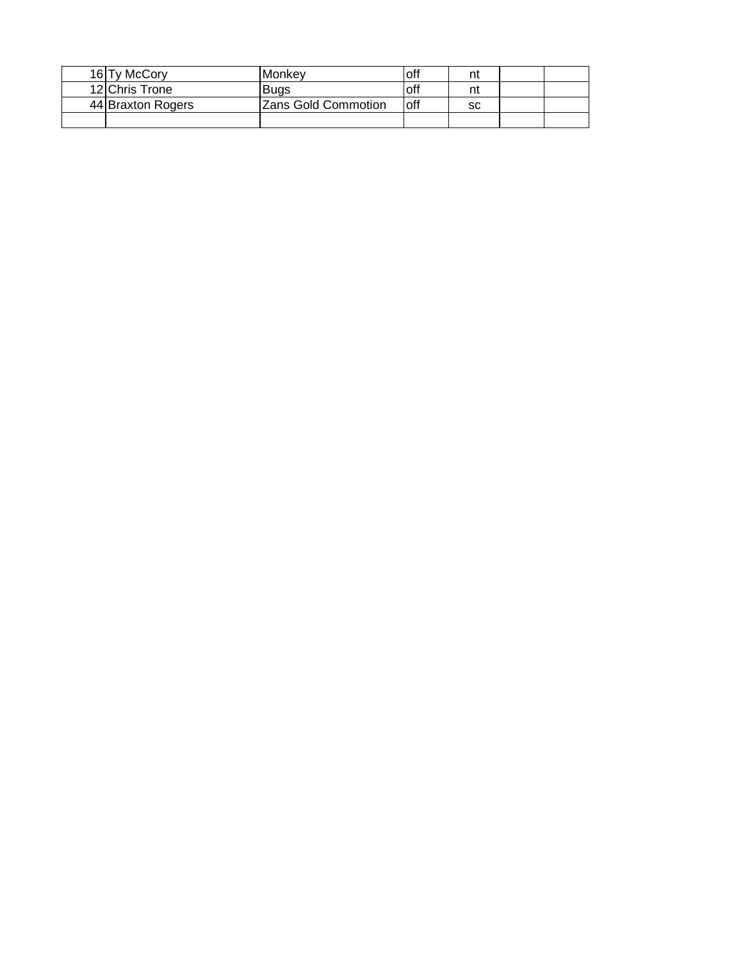| 16 Ty McCory      | lMonkev             | off  | n  |  |
|-------------------|---------------------|------|----|--|
| 12 Chris Trone    | Buas                | off  | n  |  |
| 44 Braxton Rogers | Zans Gold Commotion | loff | sc |  |
|                   |                     |      |    |  |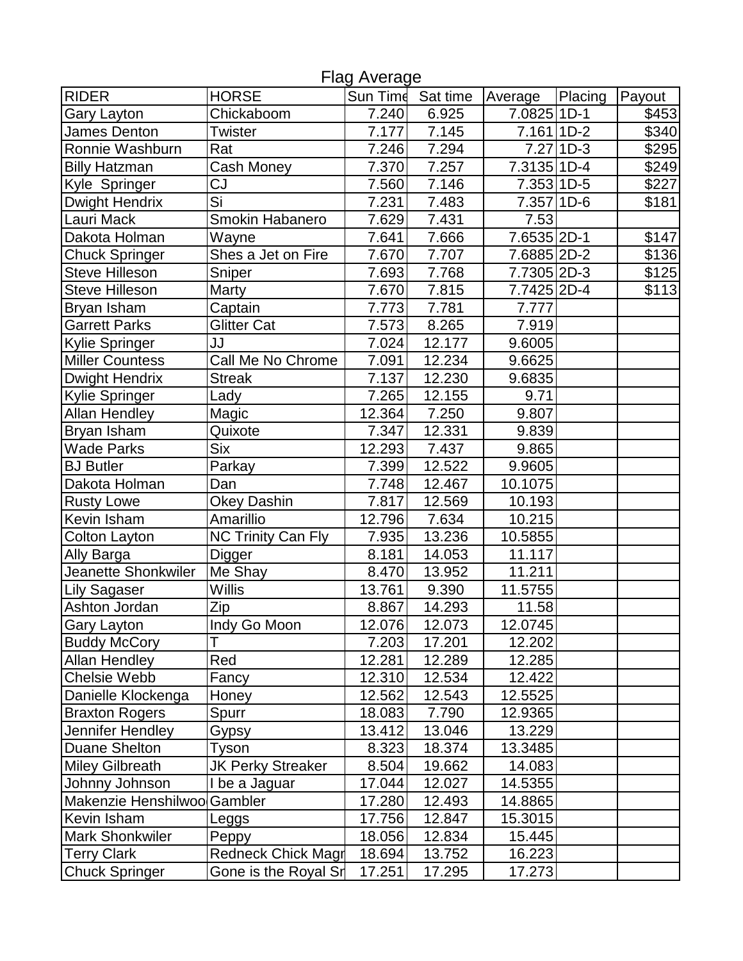| <b>Flag Average</b>         |                           |                    |          |               |               |        |  |  |
|-----------------------------|---------------------------|--------------------|----------|---------------|---------------|--------|--|--|
| <b>RIDER</b>                | <b>HORSE</b>              | Sun Time           | Sat time | Average       | Placing       | Payout |  |  |
| Gary Layton                 | Chickaboom                | 7.240              | 6.925    | $7.0825 1D-1$ |               | \$453  |  |  |
| James Denton                | <b>Twister</b>            | $\overline{7.177}$ | 7.145    | 7.161 1D-2    |               | \$340  |  |  |
| Ronnie Washburn             | Rat                       | 7.246              | 7.294    |               | $7.27$   1D-3 | \$295  |  |  |
| <b>Billy Hatzman</b>        | Cash Money                | 7.370              | 7.257    | 7.3135 1D-4   |               | \$249  |  |  |
| Kyle Springer               | $\overline{\text{CJ}}$    | 7.560              | 7.146    | 7.353 1D-5    |               | \$227  |  |  |
| <b>Dwight Hendrix</b>       | Si                        | 7.231              | 7.483    | 7.357 1D-6    |               | \$181  |  |  |
| Lauri Mack                  | Smokin Habanero           | 7.629              | 7.431    | 7.53          |               |        |  |  |
| Dakota Holman               | Wayne                     | 7.641              | 7.666    | 7.6535 2D-1   |               | \$147  |  |  |
| <b>Chuck Springer</b>       | Shes a Jet on Fire        | 7.670              | 7.707    | 7.6885 2D-2   |               | \$136  |  |  |
| <b>Steve Hilleson</b>       | Sniper                    | 7.693              | 7.768    | 7.7305 2D-3   |               | \$125  |  |  |
| <b>Steve Hilleson</b>       | Marty                     | 7.670              | 7.815    | 7.7425 2D-4   |               | \$113  |  |  |
| Bryan Isham                 | Captain                   | 7.773              | 7.781    | 7.777         |               |        |  |  |
| <b>Garrett Parks</b>        | <b>Glitter Cat</b>        | 7.573              | 8.265    | 7.919         |               |        |  |  |
| Kylie Springer              | JJ                        | 7.024              | 12.177   | 9.6005        |               |        |  |  |
| <b>Miller Countess</b>      | Call Me No Chrome         | 7.091              | 12.234   | 9.6625        |               |        |  |  |
| Dwight Hendrix              | <b>Streak</b>             | 7.137              | 12.230   | 9.6835        |               |        |  |  |
| Kylie Springer              | Lady                      | 7.265              | 12.155   | 9.71          |               |        |  |  |
| <b>Allan Hendley</b>        | Magic                     | 12.364             | 7.250    | 9.807         |               |        |  |  |
| Bryan Isham                 | Quixote                   | 7.347              | 12.331   | 9.839         |               |        |  |  |
| <b>Wade Parks</b>           | <b>Six</b>                | 12.293             | 7.437    | 9.865         |               |        |  |  |
| <b>BJ</b> Butler            | Parkay                    | 7.399              | 12.522   | 9.9605        |               |        |  |  |
| Dakota Holman               | Dan                       | 7.748              | 12.467   | 10.1075       |               |        |  |  |
| <b>Rusty Lowe</b>           | <b>Okey Dashin</b>        | 7.817              | 12.569   | 10.193        |               |        |  |  |
| Kevin Isham                 | Amarillio                 | 12.796             | 7.634    | 10.215        |               |        |  |  |
| Colton Layton               | <b>NC Trinity Can Fly</b> | 7.935              | 13.236   | 10.5855       |               |        |  |  |
| Ally Barga                  | Digger                    | 8.181              | 14.053   | 11.117        |               |        |  |  |
| Jeanette Shonkwiler         | Me Shay                   | 8.470              | 13.952   | 11.211        |               |        |  |  |
| Lily Sagaser                | <b>Willis</b>             | 13.761             | 9.390    | 11.5755       |               |        |  |  |
| Ashton Jordan               | Zip                       | 8.867              | 14.293   | 11.58         |               |        |  |  |
| Gary Layton                 | Indy Go Moon              | 12.076             | 12.073   | 12.0745       |               |        |  |  |
| <b>Buddy McCory</b>         |                           | 7.203              | 17.201   | 12.202        |               |        |  |  |
| <b>Allan Hendley</b>        | Red                       | 12.281             | 12.289   | 12.285        |               |        |  |  |
| <b>Chelsie Webb</b>         | Fancy                     | 12.310             | 12.534   | 12.422        |               |        |  |  |
| Danielle Klockenga          | Honey                     | 12.562             | 12.543   | 12.5525       |               |        |  |  |
| <b>Braxton Rogers</b>       | Spurr                     | 18.083             | 7.790    | 12.9365       |               |        |  |  |
| Jennifer Hendley            | Gypsy                     | 13.412             | 13.046   | 13.229        |               |        |  |  |
| <b>Duane Shelton</b>        | Tyson                     | 8.323              | 18.374   | 13.3485       |               |        |  |  |
| <b>Miley Gilbreath</b>      | <b>JK Perky Streaker</b>  | 8.504              | 19.662   | 14.083        |               |        |  |  |
| Johnny Johnson              | I be a Jaguar             | 17.044             | 12.027   | 14.5355       |               |        |  |  |
| Makenzie Henshilwoo Gambler |                           | 17.280             | 12.493   | 14.8865       |               |        |  |  |
| Kevin Isham                 | Leggs                     | 17.756             | 12.847   | 15.3015       |               |        |  |  |
| <b>Mark Shonkwiler</b>      | Peppy                     | 18.056             | 12.834   | 15.445        |               |        |  |  |
| <b>Terry Clark</b>          | Redneck Chick Magr        | 18.694             | 13.752   | 16.223        |               |        |  |  |
| <b>Chuck Springer</b>       | Gone is the Royal Sr      | 17.251             | 17.295   | 17.273        |               |        |  |  |